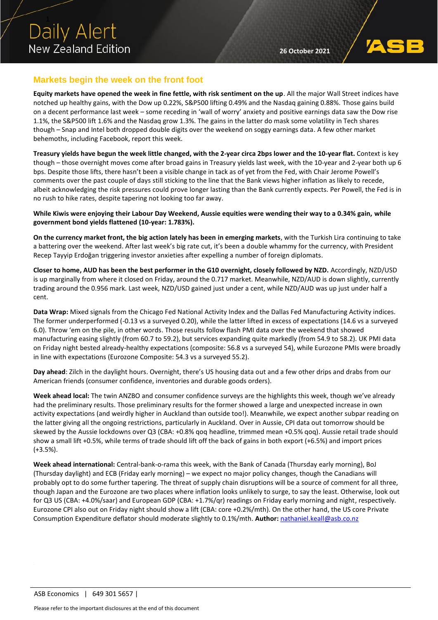

### **Markets begin the week on the front foot**

**Equity markets have opened the week in fine fettle, with risk sentiment on the up**. All the major Wall Street indices have notched up healthy gains, with the Dow up 0.22%, S&P500 lifting 0.49% and the Nasdaq gaining 0.88%. Those gains build on a decent performance last week – some receding in 'wall of worry' anxiety and positive earnings data saw the Dow rise 1.1%, the S&P500 lift 1.6% and the Nasdaq grow 1.3%. The gains in the latter do mask some volatility in Tech shares though – Snap and Intel both dropped double digits over the weekend on soggy earnings data. A few other market behemoths, including Facebook, report this week.

**Treasury yields have begun the week little changed, with the 2-year circa 2bps lower and the 10-year flat.** Context is key though – those overnight moves come after broad gains in Treasury yields last week, with the 10-year and 2-year both up 6 bps. Despite those lifts, there hasn't been a visible change in tack as of yet from the Fed, with Chair Jerome Powell's comments over the past couple of days still sticking to the line that the Bank views higher inflation as likely to recede, albeit acknowledging the risk pressures could prove longer lasting than the Bank currently expects. Per Powell, the Fed is in no rush to hike rates, despite tapering not looking too far away.

**While Kiwis were enjoying their Labour Day Weekend, Aussie equities were wending their way to a 0.34% gain, while government bond yields flattened (10-year: 1.783%).**

**On the currency market front, the big action lately has been in emerging markets**, with the Turkish Lira continuing to take a battering over the weekend. After last week's big rate cut, it's been a double whammy for the currency, with President Recep Tayyip Erdoğan triggering investor anxieties after expelling a number of foreign diplomats.

**Closer to home, AUD has been the best performer in the G10 overnight, closely followed by NZD.** Accordingly, NZD/USD is up marginally from where it closed on Friday, around the 0.717 market. Meanwhile, NZD/AUD is down slightly, currently trading around the 0.956 mark. Last week, NZD/USD gained just under a cent, while NZD/AUD was up just under half a cent.

**Data Wrap:** Mixed signals from the Chicago Fed National Activity Index and the Dallas Fed Manufacturing Activity indices. The former underperformed (-0.13 vs a surveyed 0.20), while the latter lifted in excess of expectations (14.6 vs a surveyed 6.0). Throw 'em on the pile, in other words. Those results follow flash PMI data over the weekend that showed manufacturing easing slightly (from 60.7 to 59.2), but services expanding quite markedly (from 54.9 to 58.2). UK PMI data on Friday night bested already-healthy expectations (composite: 56.8 vs a surveyed 54), while Eurozone PMIs were broadly in line with expectations (Eurozone Composite: 54.3 vs a surveyed 55.2).

**Day ahead**: Zilch in the daylight hours. Overnight, there's US housing data out and a few other drips and drabs from our American friends (consumer confidence, inventories and durable goods orders).

**Week ahead local:** The twin ANZBO and consumer confidence surveys are the highlights this week, though we've already had the preliminary results. Those preliminary results for the former showed a large and unexpected increase in own activity expectations (and weirdly higher in Auckland than outside too!). Meanwhile, we expect another subpar reading on the latter giving all the ongoing restrictions, particularly in Auckland. Over in Aussie, CPI data out tomorrow should be skewed by the Aussie lockdowns over Q3 (CBA: +0.8% qoq headline, trimmed mean +0.5% qoq). Aussie retail trade should show a small lift +0.5%, while terms of trade should lift off the back of gains in both export (+6.5%) and import prices (+3.5%).

**Week ahead international:** Central-bank-o-rama this week, with the Bank of Canada (Thursday early morning), BoJ (Thursday daylight) and ECB (Friday early morning) – we expect no major policy changes, though the Canadians will probably opt to do some further tapering. The threat of supply chain disruptions will be a source of comment for all three, though Japan and the Eurozone are two places where inflation looks unlikely to surge, to say the least. Otherwise, look out for Q3 US (CBA: +4.0%/saar) and European GDP (CBA: +1.7%/qr) readings on Friday early morning and night, respectively. Eurozone CPI also out on Friday night should show a lift (CBA: core +0.2%/mth). On the other hand, the US core Private Consumption Expenditure deflator should moderate slightly to 0.1%/mth. **Author:** [nathaniel.keall@asb.co.nz](mailto:nathaniel.keall@asb.co.nz)